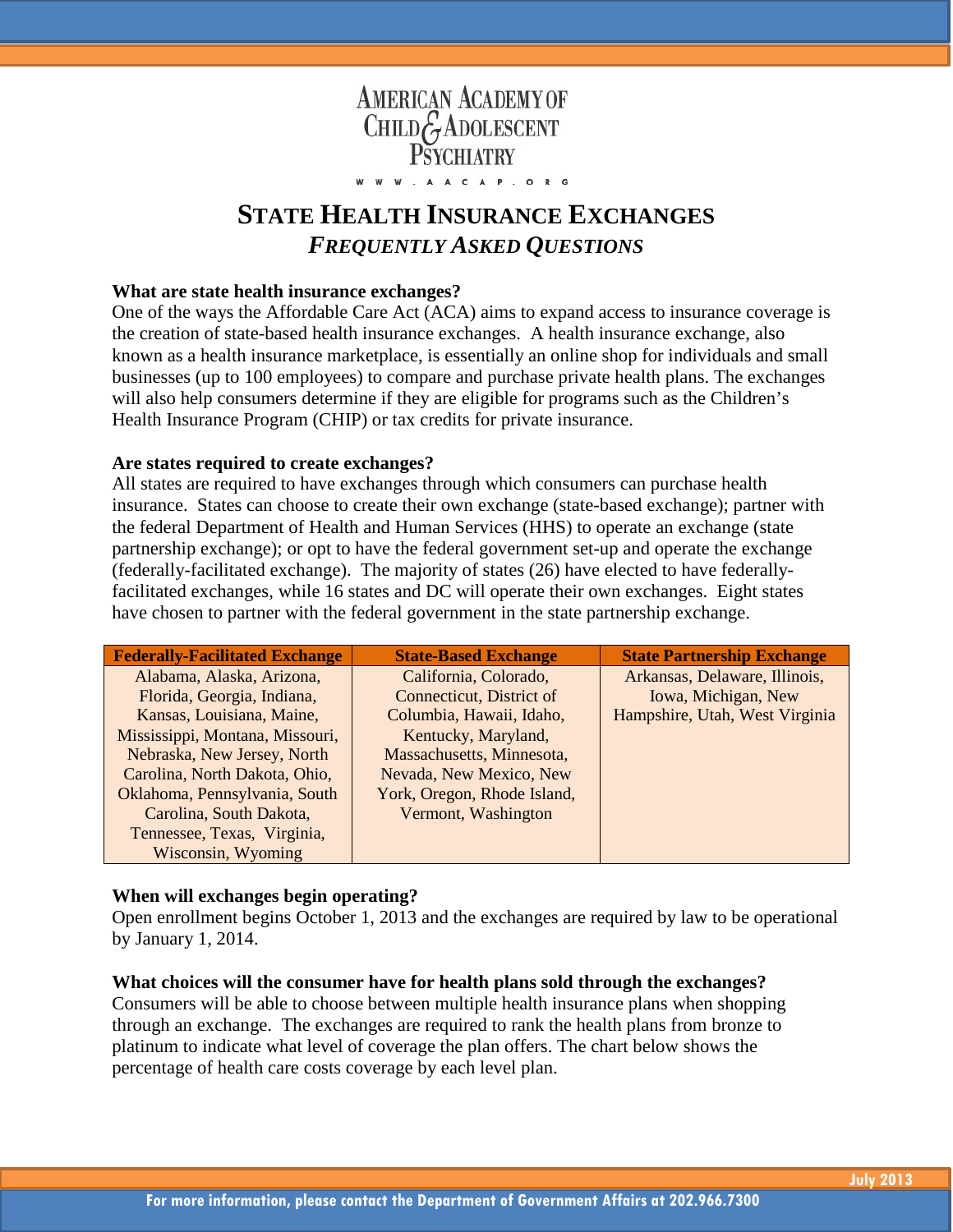

# **STATE HEALTH INSURANCE EXCHANGES** *FREQUENTLY ASKED QUESTIONS*

# **What are state health insurance exchanges?**

One of the ways the Affordable Care Act (ACA) aims to expand access to insurance coverage is the creation of state-based health insurance exchanges. A health insurance exchange, also known as a health insurance marketplace, is essentially an online shop for individuals and small businesses (up to 100 employees) to compare and purchase private health plans. The exchanges will also help consumers determine if they are eligible for programs such as the Children's Health Insurance Program (CHIP) or tax credits for private insurance.

### **Are states required to create exchanges?**

All states are required to have exchanges through which consumers can purchase health insurance. States can choose to create their own exchange (state-based exchange); partner with the federal Department of Health and Human Services (HHS) to operate an exchange (state partnership exchange); or opt to have the federal government set-up and operate the exchange (federally-facilitated exchange). The majority of states (26) have elected to have federallyfacilitated exchanges, while 16 states and DC will operate their own exchanges. Eight states have chosen to partner with the federal government in the state partnership exchange.

| <b>Federally-Facilitated Exchange</b> | <b>State-Based Exchange</b> | <b>State Partnership Exchange</b> |
|---------------------------------------|-----------------------------|-----------------------------------|
| Alabama, Alaska, Arizona,             | California, Colorado,       | Arkansas, Delaware, Illinois,     |
| Florida, Georgia, Indiana,            | Connecticut, District of    | Iowa, Michigan, New               |
| Kansas, Louisiana, Maine,             | Columbia, Hawaii, Idaho,    | Hampshire, Utah, West Virginia    |
| Mississippi, Montana, Missouri,       | Kentucky, Maryland,         |                                   |
| Nebraska, New Jersey, North           | Massachusetts, Minnesota,   |                                   |
| Carolina, North Dakota, Ohio,         | Nevada, New Mexico, New     |                                   |
| Oklahoma, Pennsylvania, South         | York, Oregon, Rhode Island, |                                   |
| Carolina, South Dakota,               | Vermont, Washington         |                                   |
| Tennessee, Texas, Virginia,           |                             |                                   |
| Wisconsin, Wyoming                    |                             |                                   |

# **When will exchanges begin operating?**

Open enrollment begins October 1, 2013 and the exchanges are required by law to be operational by January 1, 2014.

#### **What choices will the consumer have for health plans sold through the exchanges?**

Consumers will be able to choose between multiple health insurance plans when shopping through an exchange. The exchanges are required to rank the health plans from bronze to platinum to indicate what level of coverage the plan offers. The chart below shows the percentage of health care costs coverage by each level plan.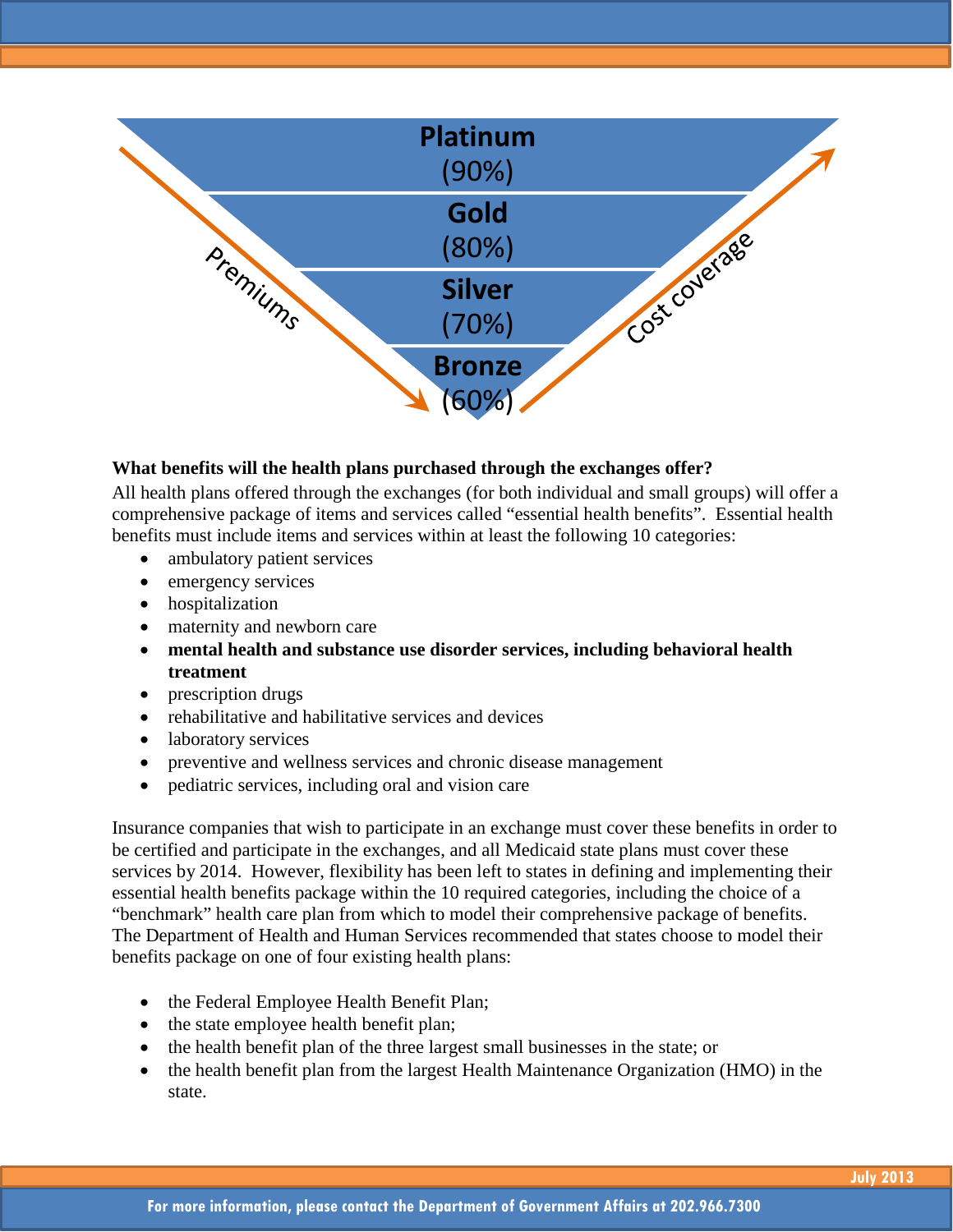

# **What benefits will the health plans purchased through the exchanges offer?**

All health plans offered through the exchanges (for both individual and small groups) will offer a comprehensive package of items and services called "essential health benefits". Essential health benefits must include items and services within at least the following 10 categories:

- ambulatory patient services
- emergency services
- hospitalization
- maternity and newborn care
- **mental health and substance use disorder services, including behavioral health treatment**
- prescription drugs
- rehabilitative and habilitative services and devices
- laboratory services
- preventive and wellness services and chronic disease management
- pediatric services, including oral and vision care

Insurance companies that wish to participate in an exchange must cover these benefits in order to be certified and participate in the exchanges, and all Medicaid state plans must cover these services by 2014. However, flexibility has been left to states in defining and implementing their essential health benefits package within the 10 required categories, including the choice of a "benchmark" health care plan from which to model their comprehensive package of benefits. The Department of Health and Human Services recommended that states choose to model their benefits package on one of four existing health plans:

- the Federal Employee Health Benefit Plan;
- the state employee health benefit plan;
- the health benefit plan of the three largest small businesses in the state; or
- the health benefit plan from the largest Health Maintenance Organization (HMO) in the state.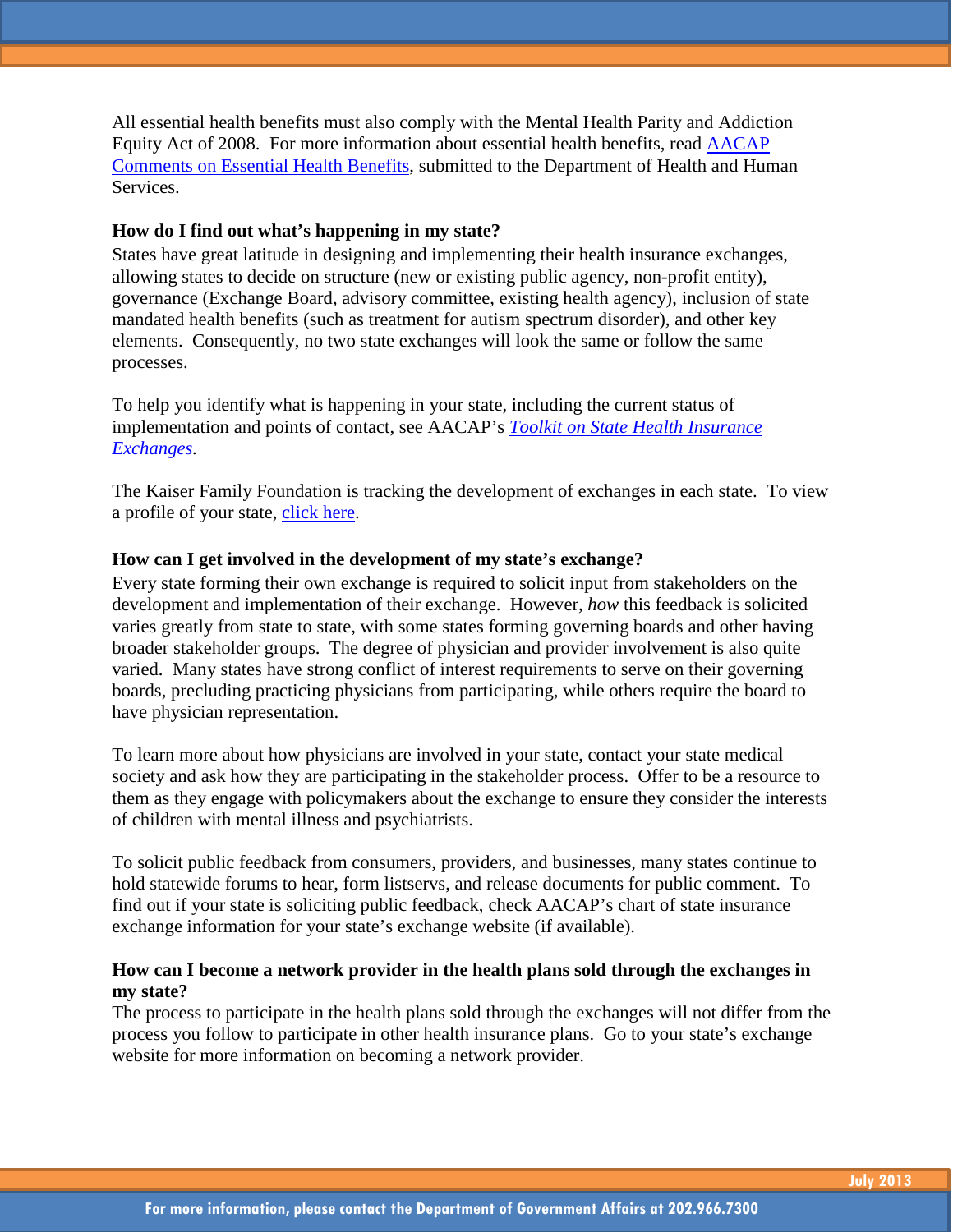All essential health benefits must also comply with the Mental Health Parity and Addiction Equity Act of 2008. For more information about essential health benefits, read [AACAP](http://www.aacap.org/galleries/govtaffairs/EHB_Bulletin_January_2012.pdf)  [Comments on Essential Health Benefits,](http://www.aacap.org/galleries/govtaffairs/EHB_Bulletin_January_2012.pdf) submitted to the Department of Health and Human Services.

# **How do I find out what's happening in my state?**

States have great latitude in designing and implementing their health insurance exchanges, allowing states to decide on structure (new or existing public agency, non-profit entity), governance (Exchange Board, advisory committee, existing health agency), inclusion of state mandated health benefits (such as treatment for autism spectrum disorder), and other key elements. Consequently, no two state exchanges will look the same or follow the same processes.

To help you identify what is happening in your state, including the current status of implementation and points of contact, see AACAP's *[Toolkit on State Health Insurance](http://www.aacap.org/AACAP/Advocacy/Federal_and_State_Initiatives/Health_Care_Reform.aspx)  [Exchanges.](http://www.aacap.org/AACAP/Advocacy/Federal_and_State_Initiatives/Health_Care_Reform.aspx)* 

The Kaiser Family Foundation is tracking the development of exchanges in each state. To view a profile of your state, [click here.](http://healthreform.kff.org/State-Exchange-Profiles-Page.aspx)

# **How can I get involved in the development of my state's exchange?**

Every state forming their own exchange is required to solicit input from stakeholders on the development and implementation of their exchange. However, *how* this feedback is solicited varies greatly from state to state, with some states forming governing boards and other having broader stakeholder groups. The degree of physician and provider involvement is also quite varied. Many states have strong conflict of interest requirements to serve on their governing boards, precluding practicing physicians from participating, while others require the board to have physician representation.

To learn more about how physicians are involved in your state, contact your state medical society and ask how they are participating in the stakeholder process. Offer to be a resource to them as they engage with policymakers about the exchange to ensure they consider the interests of children with mental illness and psychiatrists.

To solicit public feedback from consumers, providers, and businesses, many states continue to hold statewide forums to hear, form listservs, and release documents for public comment. To find out if your state is soliciting public feedback, check AACAP's chart of state insurance exchange information for your state's exchange website (if available).

# **How can I become a network provider in the health plans sold through the exchanges in my state?**

The process to participate in the health plans sold through the exchanges will not differ from the process you follow to participate in other health insurance plans. Go to your state's exchange website for more information on becoming a network provider.